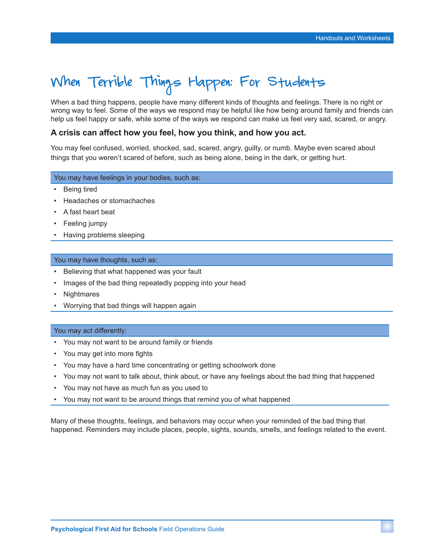# When Terrible Things Happen: For Students

When a bad thing happens, people have many different kinds of thoughts and feelings. There is no right or wrong way to feel. Some of the ways we respond may be helpful like how being around family and friends can help us feel happy or safe, while some of the ways we respond can make us feel very sad, scared, or angry.

## **A crisis can affect how you feel, how you think, and how you act.**

You may feel confused, worried, shocked, sad, scared, angry, guilty, or numb. Maybe even scared about things that you weren't scared of before, such as being alone, being in the dark, or getting hurt.

### You may have feelings in your bodies, such as:

- Being tired
- Headaches or stomachaches
- A fast heart beat
- Feeling jumpy
- Having problems sleeping

#### You may have thoughts, such as:

- Believing that what happened was your fault
- Images of the bad thing repeatedly popping into your head
- Nightmares
- Worrying that bad things will happen again

#### You may act differently:

- You may not want to be around family or friends
- You may get into more fights
- You may have a hard time concentrating or getting schoolwork done
- You may not want to talk about, think about, or have any feelings about the bad thing that happened
- You may not have as much fun as you used to
- You may not want to be around things that remind you of what happened

Many of these thoughts, feelings, and behaviors may occur when your reminded of the bad thing that happened. Reminders may include places, people, sights, sounds, smells, and feelings related to the event.